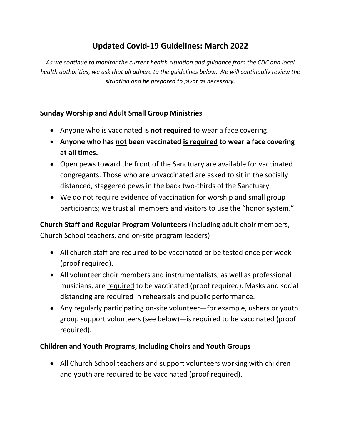## **Updated Covid-19 Guidelines: March 2022**

*As we continue to monitor the current health situation and guidance from the CDC and local health authorities, we ask that all adhere to the guidelines below. We will continually review the situation and be prepared to pivot as necessary.*

## **Sunday Worship and Adult Small Group Ministries**

- Anyone who is vaccinated is **not required** to wear a face covering.
- **Anyone who has not been vaccinated is required to wear a face covering at all times.**
- Open pews toward the front of the Sanctuary are available for vaccinated congregants. Those who are unvaccinated are asked to sit in the socially distanced, staggered pews in the back two-thirds of the Sanctuary.
- We do not require evidence of vaccination for worship and small group participants; we trust all members and visitors to use the "honor system."

**Church Staff and Regular Program Volunteers** (Including adult choir members, Church School teachers, and on-site program leaders)

- All church staff are required to be vaccinated or be tested once per week (proof required).
- All volunteer choir members and instrumentalists, as well as professional musicians, are required to be vaccinated (proof required). Masks and social distancing are required in rehearsals and public performance.
- Any regularly participating on-site volunteer—for example, ushers or youth group support volunteers (see below)—is required to be vaccinated (proof required).

## **Children and Youth Programs, Including Choirs and Youth Groups**

• All Church School teachers and support volunteers working with children and youth are required to be vaccinated (proof required).